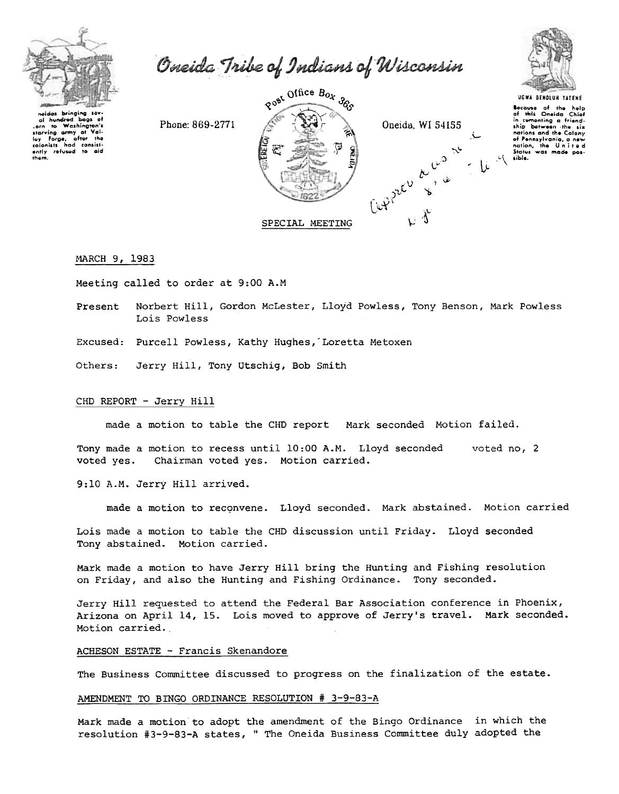

orn to washington.<br>Interving army at<br>Interview for the content of the content of the content of the content of the content of the content of the content of the content of the content of the content of the content of the co

Oneida Tribe of Indians of Wisconsin

Phone: 869-2771 Val. - tha colonists had consist-<br>ently refused to aid







UGWA BENOLUN YATENE Socause of the help<br>of this Oneida Chief<br>in comenting a friend-<br>ship between the six nations and the Colony of Pennsylvania, a new<br>nation, the United<br>States was made pos-

MARCH 9, 1983

Meeting called to order at 9:00 A.M

Norbert Hill, Gordon McLester, Lloyd Powless, Tony Benson, Mark Powless Present Lois Powless

Excused: Purcell Powless, Kathy Hughes, Loretta Metoxen

Others: Jerry Hill, Tony Utschiq, Bob Smith

## CHD REPORT - Jerry Hill

made a motion to table the CHD report Mark seconded Motion failed.

Tony made a motion to recess until 10:00 A.M. Lloyd seconded voted no, 2 voted yes. Chairman voted yes. Motion carried.

9:10 A.M. Jerry Hill arrived.

made a motion to reconvene. Lloyd seconded. Mark abstained. Motion carried

Lois made a motion to table the CHD discussion until Friday. Lloyd seconded Tony abstained. Motion carried.

Mark made a motion to have Jerry Hill bring the Hunting and Fishing resolution on Friday, and also the Hunting and Fishing Ordinance. Tony seconded.

Jerry Hill requested to attend the Federal Bar Association conference in Phoenix, Arizona on April 14, 15. Lois moved to approve of Jerry's travel. Mark seconded. Motion carried.

#### ACHESON ESTATE - Francis Skenandore

The Business Committee discussed to progress on the finalization of the estate.

### AMENDMENT TO BINGO ORDINANCE RESOLUTION # 3-9-83-A

Mark made a motion to adopt the amendment of the Bingo Ordinance in which the resolution #3-9-83-A states, " The Oneida Business Committee duly adopted the